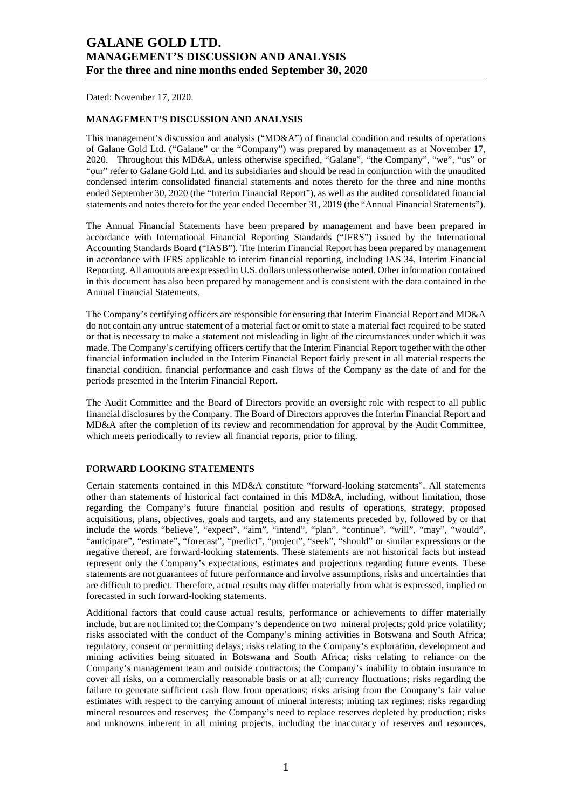Dated: November 17, 2020.

### **MANAGEMENT'S DISCUSSION AND ANALYSIS**

This management's discussion and analysis ("MD&A") of financial condition and results of operations of Galane Gold Ltd. ("Galane" or the "Company") was prepared by management as at November 17, 2020. Throughout this MD&A, unless otherwise specified, "Galane", "the Company", "we", "us" or "our" refer to Galane Gold Ltd. and its subsidiaries and should be read in conjunction with the unaudited condensed interim consolidated financial statements and notes thereto for the three and nine months ended September 30, 2020 (the "Interim Financial Report"), as well as the audited consolidated financial statements and notes thereto for the year ended December 31, 2019 (the "Annual Financial Statements").

The Annual Financial Statements have been prepared by management and have been prepared in accordance with International Financial Reporting Standards ("IFRS") issued by the International Accounting Standards Board ("IASB"). The Interim Financial Report has been prepared by management in accordance with IFRS applicable to interim financial reporting, including IAS 34, Interim Financial Reporting. All amounts are expressed in U.S. dollars unless otherwise noted. Other information contained in this document has also been prepared by management and is consistent with the data contained in the Annual Financial Statements.

The Company's certifying officers are responsible for ensuring that Interim Financial Report and MD&A do not contain any untrue statement of a material fact or omit to state a material fact required to be stated or that is necessary to make a statement not misleading in light of the circumstances under which it was made. The Company's certifying officers certify that the Interim Financial Report together with the other financial information included in the Interim Financial Report fairly present in all material respects the financial condition, financial performance and cash flows of the Company as the date of and for the periods presented in the Interim Financial Report.

The Audit Committee and the Board of Directors provide an oversight role with respect to all public financial disclosures by the Company. The Board of Directors approves the Interim Financial Report and MD&A after the completion of its review and recommendation for approval by the Audit Committee, which meets periodically to review all financial reports, prior to filing.

### **FORWARD LOOKING STATEMENTS**

Certain statements contained in this MD&A constitute "forward-looking statements". All statements other than statements of historical fact contained in this MD&A, including, without limitation, those regarding the Company's future financial position and results of operations, strategy, proposed acquisitions, plans, objectives, goals and targets, and any statements preceded by, followed by or that include the words "believe", "expect", "aim", "intend", "plan", "continue", "will", "may", "would", "anticipate", "estimate", "forecast", "predict", "project", "seek", "should" or similar expressions or the negative thereof, are forward-looking statements. These statements are not historical facts but instead represent only the Company's expectations, estimates and projections regarding future events. These statements are not guarantees of future performance and involve assumptions, risks and uncertainties that are difficult to predict. Therefore, actual results may differ materially from what is expressed, implied or forecasted in such forward-looking statements.

Additional factors that could cause actual results, performance or achievements to differ materially include, but are not limited to: the Company's dependence on two mineral projects; gold price volatility; risks associated with the conduct of the Company's mining activities in Botswana and South Africa; regulatory, consent or permitting delays; risks relating to the Company's exploration, development and mining activities being situated in Botswana and South Africa; risks relating to reliance on the Company's management team and outside contractors; the Company's inability to obtain insurance to cover all risks, on a commercially reasonable basis or at all; currency fluctuations; risks regarding the failure to generate sufficient cash flow from operations; risks arising from the Company's fair value estimates with respect to the carrying amount of mineral interests; mining tax regimes; risks regarding mineral resources and reserves; the Company's need to replace reserves depleted by production; risks and unknowns inherent in all mining projects, including the inaccuracy of reserves and resources,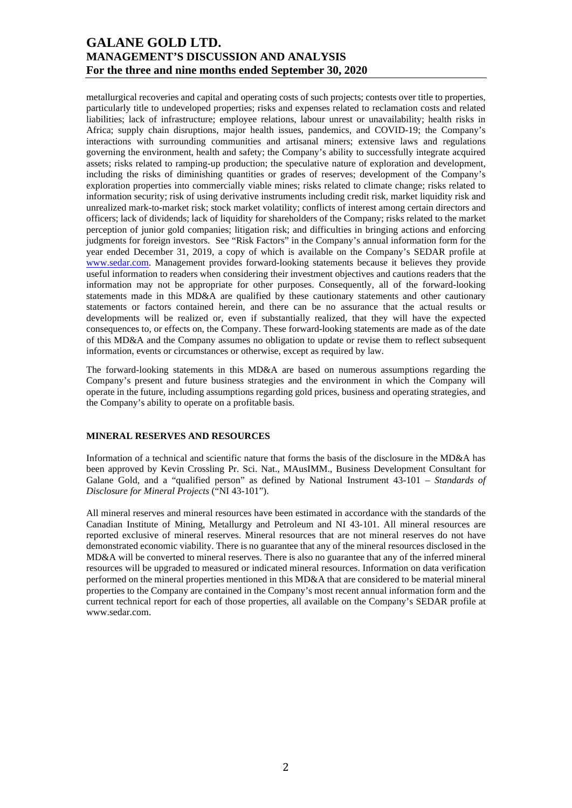metallurgical recoveries and capital and operating costs of such projects; contests over title to properties, particularly title to undeveloped properties; risks and expenses related to reclamation costs and related liabilities; lack of infrastructure; employee relations, labour unrest or unavailability; health risks in Africa; supply chain disruptions, major health issues, pandemics, and COVID-19; the Company's interactions with surrounding communities and artisanal miners; extensive laws and regulations governing the environment, health and safety; the Company's ability to successfully integrate acquired assets; risks related to ramping-up production; the speculative nature of exploration and development, including the risks of diminishing quantities or grades of reserves; development of the Company's exploration properties into commercially viable mines; risks related to climate change; risks related to information security; risk of using derivative instruments including credit risk, market liquidity risk and unrealized mark-to-market risk; stock market volatility; conflicts of interest among certain directors and officers; lack of dividends; lack of liquidity for shareholders of the Company; risks related to the market perception of junior gold companies; litigation risk; and difficulties in bringing actions and enforcing judgments for foreign investors. See "Risk Factors" in the Company's annual information form for the year ended December 31, 2019, a copy of which is available on the Company's SEDAR profile at [www.sedar.com.](http://www.sedar.com/) Management provides forward-looking statements because it believes they provide useful information to readers when considering their investment objectives and cautions readers that the information may not be appropriate for other purposes. Consequently, all of the forward-looking statements made in this MD&A are qualified by these cautionary statements and other cautionary statements or factors contained herein, and there can be no assurance that the actual results or developments will be realized or, even if substantially realized, that they will have the expected consequences to, or effects on, the Company. These forward-looking statements are made as of the date of this MD&A and the Company assumes no obligation to update or revise them to reflect subsequent information, events or circumstances or otherwise, except as required by law.

The forward-looking statements in this MD&A are based on numerous assumptions regarding the Company's present and future business strategies and the environment in which the Company will operate in the future, including assumptions regarding gold prices, business and operating strategies, and the Company's ability to operate on a profitable basis.

### **MINERAL RESERVES AND RESOURCES**

Information of a technical and scientific nature that forms the basis of the disclosure in the MD&A has been approved by Kevin Crossling Pr. Sci. Nat., MAusIMM., Business Development Consultant for Galane Gold, and a "qualified person" as defined by National Instrument 43-101 – *Standards of Disclosure for Mineral Projects* ("NI 43-101").

All mineral reserves and mineral resources have been estimated in accordance with the standards of the Canadian Institute of Mining, Metallurgy and Petroleum and NI 43-101. All mineral resources are reported exclusive of mineral reserves. Mineral resources that are not mineral reserves do not have demonstrated economic viability. There is no guarantee that any of the mineral resources disclosed in the MD&A will be converted to mineral reserves. There is also no guarantee that any of the inferred mineral resources will be upgraded to measured or indicated mineral resources. Information on data verification performed on the mineral properties mentioned in this MD&A that are considered to be material mineral properties to the Company are contained in the Company's most recent annual information form and the current technical report for each of those properties, all available on the Company's SEDAR profile at www.sedar.com.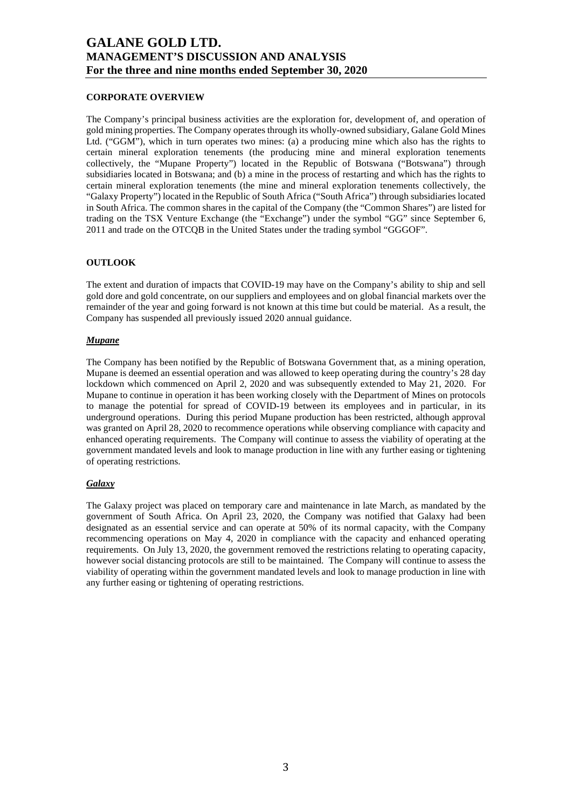### **CORPORATE OVERVIEW**

The Company's principal business activities are the exploration for, development of, and operation of gold mining properties. The Company operates through its wholly-owned subsidiary, Galane Gold Mines Ltd. ("GGM"), which in turn operates two mines: (a) a producing mine which also has the rights to certain mineral exploration tenements (the producing mine and mineral exploration tenements collectively, the "Mupane Property") located in the Republic of Botswana ("Botswana") through subsidiaries located in Botswana; and (b) a mine in the process of restarting and which has the rights to certain mineral exploration tenements (the mine and mineral exploration tenements collectively, the "Galaxy Property") located in the Republic of South Africa ("South Africa") through subsidiaries located in South Africa. The common shares in the capital of the Company (the "Common Shares") are listed for trading on the TSX Venture Exchange (the "Exchange") under the symbol "GG" since September 6, 2011 and trade on the OTCQB in the United States under the trading symbol "GGGOF".

### **OUTLOOK**

The extent and duration of impacts that COVID-19 may have on the Company's ability to ship and sell gold dore and gold concentrate, on our suppliers and employees and on global financial markets over the remainder of the year and going forward is not known at this time but could be material. As a result, the Company has suspended all previously issued 2020 annual guidance.

### *Mupane*

The Company has been notified by the Republic of Botswana Government that, as a mining operation, Mupane is deemed an essential operation and was allowed to keep operating during the country's 28 day lockdown which commenced on April 2, 2020 and was subsequently extended to May 21, 2020. For Mupane to continue in operation it has been working closely with the Department of Mines on protocols to manage the potential for spread of COVID-19 between its employees and in particular, in its underground operations. During this period Mupane production has been restricted, although approval was granted on April 28, 2020 to recommence operations while observing compliance with capacity and enhanced operating requirements. The Company will continue to assess the viability of operating at the government mandated levels and look to manage production in line with any further easing or tightening of operating restrictions.

### *Galaxy*

The Galaxy project was placed on temporary care and maintenance in late March, as mandated by the government of South Africa. On April 23, 2020, the Company was notified that Galaxy had been designated as an essential service and can operate at 50% of its normal capacity, with the Company recommencing operations on May 4, 2020 in compliance with the capacity and enhanced operating requirements. On July 13, 2020, the government removed the restrictions relating to operating capacity, however social distancing protocols are still to be maintained. The Company will continue to assess the viability of operating within the government mandated levels and look to manage production in line with any further easing or tightening of operating restrictions.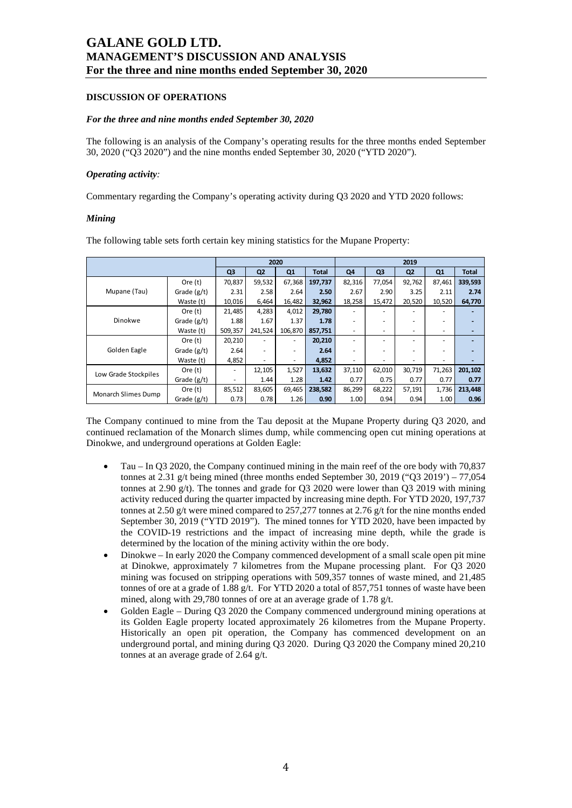### **DISCUSSION OF OPERATIONS**

#### *For the three and nine months ended September 30, 2020*

The following is an analysis of the Company's operating results for the three months ended September 30, 2020 ("Q3 2020") and the nine months ended September 30, 2020 ("YTD 2020").

#### *Operating activity:*

Commentary regarding the Company's operating activity during Q3 2020 and YTD 2020 follows:

#### *Mining*

|                      |               |                |                | 2020    |              |        |                | 2019                     |                |              |
|----------------------|---------------|----------------|----------------|---------|--------------|--------|----------------|--------------------------|----------------|--------------|
|                      |               | Q <sub>3</sub> | Q <sub>2</sub> | Q1      | <b>Total</b> | Q4     | Q <sub>3</sub> | Q <sub>2</sub>           | Q <sub>1</sub> | <b>Total</b> |
|                      | Ore (t)       | 70,837         | 59,532         | 67,368  | 197,737      | 82,316 | 77,054         | 92,762                   | 87,461         | 339,593      |
| Mupane (Tau)         | Grade $(g/t)$ | 2.31           | 2.58           | 2.64    | 2.50         | 2.67   | 2.90           | 3.25                     | 2.11           | 2.74         |
|                      | Waste (t)     | 10,016         | 6,464          | 16,482  | 32,962       | 18,258 | 15,472         | 20,520                   | 10,520         | 64,770       |
|                      | Ore $(t)$     | 21,485         | 4,283          | 4,012   | 29,780       | ۰      |                |                          |                |              |
| Dinokwe              | Grade $(g/t)$ | 1.88           | 1.67           | 1.37    | 1.78         | ٠      |                |                          |                |              |
|                      | Waste (t)     | 509,357        | 241,524        | 106.870 | 857,751      | ٠      |                | $\overline{\phantom{a}}$ | -              |              |
|                      | Ore $(t)$     | 20,210         |                |         | 20,210       | ۰      |                |                          |                |              |
| Golden Eagle         | Grade $(g/t)$ | 2.64           | ٠              |         | 2.64         | ٠      |                | -                        |                |              |
|                      | Waste (t)     | 4,852          |                |         | 4,852        | ٠      |                |                          |                |              |
|                      | Ore (t)       | ٠              | 12,105         | 1,527   | 13,632       | 37,110 | 62,010         | 30,719                   | 71,263         | 201,102      |
| Low Grade Stockpiles | Grade $(g/t)$ |                | 1.44           | 1.28    | 1.42         | 0.77   | 0.75           | 0.77                     | 0.77           | 0.77         |
|                      | Ore (t)       | 85,512         | 83,605         | 69,465  | 238,582      | 86,299 | 68,222         | 57,191                   | 1,736          | 213,448      |
| Monarch Slimes Dump  | Grade (g/t)   | 0.73           | 0.78           | 1.26    | 0.90         | 1.00   | 0.94           | 0.94                     | 1.00           | 0.96         |

The following table sets forth certain key mining statistics for the Mupane Property:

The Company continued to mine from the Tau deposit at the Mupane Property during Q3 2020, and continued reclamation of the Monarch slimes dump, while commencing open cut mining operations at Dinokwe, and underground operations at Golden Eagle:

- Tau In Q3 2020, the Company continued mining in the main reef of the ore body with 70,837 tonnes at 2.31 g/t being mined (three months ended September 30, 2019 ("Q3 2019') – 77,054 tonnes at 2.90 g/t). The tonnes and grade for Q3 2020 were lower than Q3 2019 with mining activity reduced during the quarter impacted by increasing mine depth. For YTD 2020, 197,737 tonnes at 2.50 g/t were mined compared to 257,277 tonnes at 2.76 g/t for the nine months ended September 30, 2019 ("YTD 2019"). The mined tonnes for YTD 2020, have been impacted by the COVID-19 restrictions and the impact of increasing mine depth, while the grade is determined by the location of the mining activity within the ore body.
- Dinokwe In early 2020 the Company commenced development of a small scale open pit mine at Dinokwe, approximately 7 kilometres from the Mupane processing plant. For Q3 2020 mining was focused on stripping operations with 509,357 tonnes of waste mined, and 21,485 tonnes of ore at a grade of 1.88 g/t. For YTD 2020 a total of 857,751 tonnes of waste have been mined, along with 29,780 tonnes of ore at an average grade of 1.78 g/t.
- Golden Eagle During Q3 2020 the Company commenced underground mining operations at its Golden Eagle property located approximately 26 kilometres from the Mupane Property. Historically an open pit operation, the Company has commenced development on an underground portal, and mining during Q3 2020. During Q3 2020 the Company mined 20,210 tonnes at an average grade of 2.64 g/t.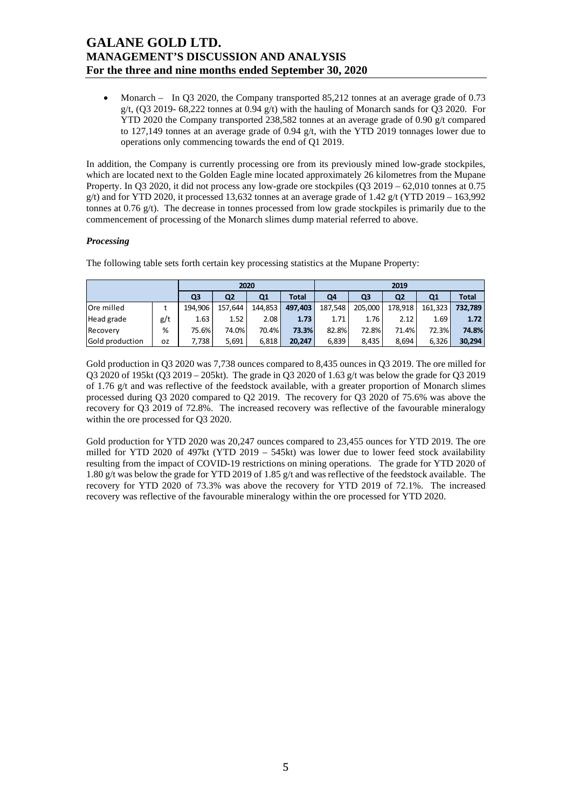• Monarch – In Q3 2020, the Company transported 85,212 tonnes at an average grade of 0.73  $g/t$ , (Q3 2019- 68,222 tonnes at 0.94  $g/t$ ) with the hauling of Monarch sands for Q3 2020. For YTD 2020 the Company transported 238,582 tonnes at an average grade of 0.90 g/t compared to 127,149 tonnes at an average grade of 0.94 g/t, with the YTD 2019 tonnages lower due to operations only commencing towards the end of Q1 2019.

In addition, the Company is currently processing ore from its previously mined low-grade stockpiles, which are located next to the Golden Eagle mine located approximately 26 kilometres from the Mupane Property. In Q3 2020, it did not process any low-grade ore stockpiles (Q3 2019 – 62,010 tonnes at 0.75 g/t) and for YTD 2020, it processed 13.632 tonnes at an average grade of 1.42 g/t (YTD 2019 – 163.992) tonnes at  $0.76$  g/t). The decrease in tonnes processed from low grade stockpiles is primarily due to the commencement of processing of the Monarch slimes dump material referred to above.

### *Processing*

The following table sets forth certain key processing statistics at the Mupane Property:

| 2020            |     |         |         |         |              | 2019    |         |                |         |              |  |  |
|-----------------|-----|---------|---------|---------|--------------|---------|---------|----------------|---------|--------------|--|--|
|                 |     | Q3      | Q2      | Q1      | <b>Total</b> | Q4      | Q3      | Q <sub>2</sub> | Q1      | <b>Total</b> |  |  |
| Ore milled      |     | 194.906 | 157.644 | 144.853 | 497.403      | 187.548 | 205.000 | 178,918        | 161.323 | 732.789      |  |  |
| Head grade      | g/t | 1.63    | 1.52    | 2.08    | 1.73         | 1.71    | 1.76    | 2.12           | 1.69    | 1.72         |  |  |
| Recovery        | %   | 75.6%   | 74.0%   | 70.4%   | 73.3%        | 82.8%   | 72.8%   | 71.4%          | 72.3%   | 74.8%        |  |  |
| Gold production | 0Z  | 7,738   | 5,691   | 6.818   | 20.247       | 6,839   | 8,435   | 8,694          | 6,326   | 30,294       |  |  |

Gold production in Q3 2020 was 7,738 ounces compared to 8,435 ounces in Q3 2019. The ore milled for Q3 2020 of 195kt (Q3 2019 – 205kt). The grade in Q3 2020 of 1.63 g/t was below the grade for Q3 2019 of 1.76 g/t and was reflective of the feedstock available, with a greater proportion of Monarch slimes processed during Q3 2020 compared to Q2 2019. The recovery for Q3 2020 of 75.6% was above the recovery for Q3 2019 of 72.8%. The increased recovery was reflective of the favourable mineralogy within the ore processed for Q3 2020.

Gold production for YTD 2020 was 20,247 ounces compared to 23,455 ounces for YTD 2019. The ore milled for YTD 2020 of 497kt (YTD 2019 – 545kt) was lower due to lower feed stock availability resulting from the impact of COVID-19 restrictions on mining operations. The grade for YTD 2020 of 1.80 g/t was below the grade for YTD 2019 of 1.85 g/t and was reflective of the feedstock available. The recovery for YTD 2020 of 73.3% was above the recovery for YTD 2019 of 72.1%. The increased recovery was reflective of the favourable mineralogy within the ore processed for YTD 2020.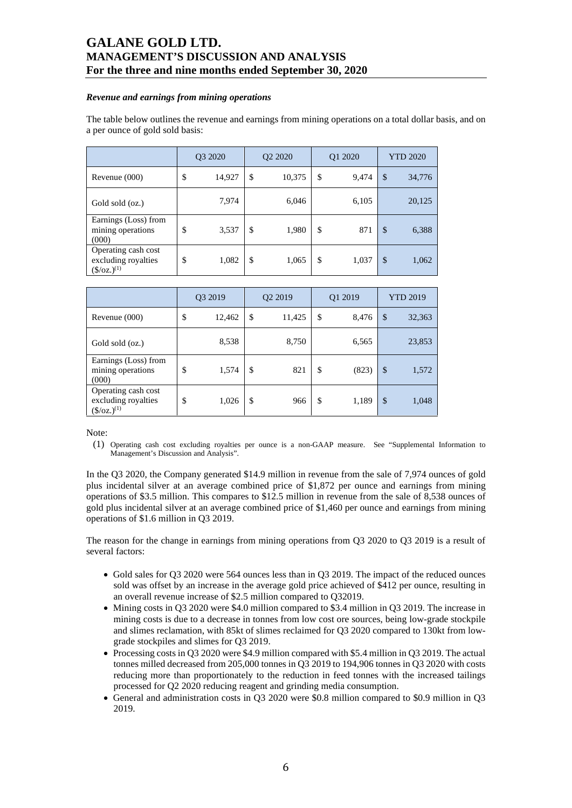#### *Revenue and earnings from mining operations*

The table below outlines the revenue and earnings from mining operations on a total dollar basis, and on a per ounce of gold sold basis:

|                                                                        | Q3 2020      | Q <sub>2</sub> 20 <sub>20</sub> |               | Q1 2020 | <b>YTD 2020</b> |
|------------------------------------------------------------------------|--------------|---------------------------------|---------------|---------|-----------------|
| Revenue (000)                                                          | \$<br>14,927 | \$<br>10,375                    | \$            | 9,474   | \$<br>34,776    |
| Gold sold (oz.)                                                        | 7,974        | 6,046                           |               | 6,105   | 20,125          |
| Earnings (Loss) from<br>mining operations<br>(000)                     | \$<br>3,537  | \$<br>1,980                     | \$            | 871     | \$<br>6,388     |
| Operating cash cost<br>excluding royalties<br>$(\frac{\xi}{oz})^{(1)}$ | \$<br>1,082  | \$<br>1,065                     | <sup>\$</sup> | 1,037   | \$<br>1,062     |

|                                                                           | Q3 2019 |        | Q2 2019 |        | Q1 2019     | <b>YTD 2019</b> |        |
|---------------------------------------------------------------------------|---------|--------|---------|--------|-------------|-----------------|--------|
| Revenue (000)                                                             | \$      | 12,462 | \$      | 11,425 | \$<br>8,476 | \$              | 32,363 |
| Gold sold (oz.)                                                           |         | 8,538  |         | 8,750  | 6,565       |                 | 23,853 |
| Earnings (Loss) from<br>mining operations<br>(000)                        | \$      | 1,574  | \$      | 821    | \$<br>(823) | \$              | 1,572  |
| Operating cash cost<br>excluding royalties<br>$(\frac{\csc(1)}{2})^{(1)}$ | \$      | 1,026  | \$      | 966    | \$<br>1,189 | \$              | 1,048  |

Note:

(1) Operating cash cost excluding royalties per ounce is a non-GAAP measure. See "Supplemental Information to Management's Discussion and Analysis".

In the Q3 2020, the Company generated \$14.9 million in revenue from the sale of 7,974 ounces of gold plus incidental silver at an average combined price of \$1,872 per ounce and earnings from mining operations of \$3.5 million. This compares to \$12.5 million in revenue from the sale of 8,538 ounces of gold plus incidental silver at an average combined price of \$1,460 per ounce and earnings from mining operations of \$1.6 million in Q3 2019.

The reason for the change in earnings from mining operations from Q3 2020 to Q3 2019 is a result of several factors:

- Gold sales for O3 2020 were 564 ounces less than in O3 2019. The impact of the reduced ounces sold was offset by an increase in the average gold price achieved of \$412 per ounce, resulting in an overall revenue increase of \$2.5 million compared to Q32019.
- Mining costs in Q3 2020 were \$4.0 million compared to \$3.4 million in Q3 2019. The increase in mining costs is due to a decrease in tonnes from low cost ore sources, being low-grade stockpile and slimes reclamation, with 85kt of slimes reclaimed for Q3 2020 compared to 130kt from lowgrade stockpiles and slimes for Q3 2019.
- Processing costs in Q3 2020 were \$4.9 million compared with \$5.4 million in Q3 2019. The actual tonnes milled decreased from 205,000 tonnes in Q3 2019 to 194,906 tonnes in Q3 2020 with costs reducing more than proportionately to the reduction in feed tonnes with the increased tailings processed for Q2 2020 reducing reagent and grinding media consumption.
- General and administration costs in Q3 2020 were \$0.8 million compared to \$0.9 million in Q3 2019.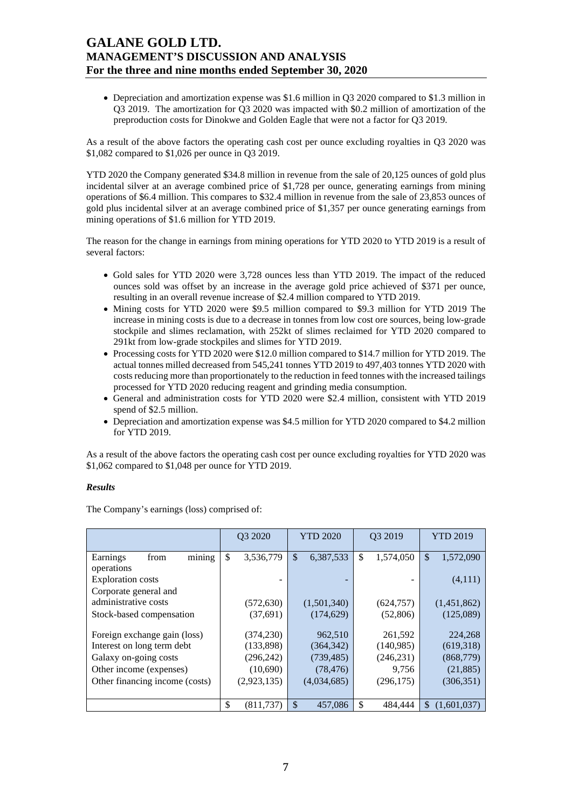Depreciation and amortization expense was \$1.6 million in Q3 2020 compared to \$1.3 million in Q3 2019. The amortization for Q3 2020 was impacted with \$0.2 million of amortization of the preproduction costs for Dinokwe and Golden Eagle that were not a factor for Q3 2019.

As a result of the above factors the operating cash cost per ounce excluding royalties in Q3 2020 was \$1,082 compared to \$1,026 per ounce in Q3 2019.

YTD 2020 the Company generated \$34.8 million in revenue from the sale of 20,125 ounces of gold plus incidental silver at an average combined price of \$1,728 per ounce, generating earnings from mining operations of \$6.4 million. This compares to \$32.4 million in revenue from the sale of 23,853 ounces of gold plus incidental silver at an average combined price of \$1,357 per ounce generating earnings from mining operations of \$1.6 million for YTD 2019.

The reason for the change in earnings from mining operations for YTD 2020 to YTD 2019 is a result of several factors:

- Gold sales for YTD 2020 were 3,728 ounces less than YTD 2019. The impact of the reduced ounces sold was offset by an increase in the average gold price achieved of \$371 per ounce, resulting in an overall revenue increase of \$2.4 million compared to YTD 2019.
- Mining costs for YTD 2020 were \$9.5 million compared to \$9.3 million for YTD 2019 The increase in mining costs is due to a decrease in tonnes from low cost ore sources, being low-grade stockpile and slimes reclamation, with 252kt of slimes reclaimed for YTD 2020 compared to 291kt from low-grade stockpiles and slimes for YTD 2019.
- Processing costs for YTD 2020 were \$12.0 million compared to \$14.7 million for YTD 2019. The actual tonnes milled decreased from 545,241 tonnes YTD 2019 to 497,403 tonnes YTD 2020 with costs reducing more than proportionately to the reduction in feed tonnes with the increased tailings processed for YTD 2020 reducing reagent and grinding media consumption.
- General and administration costs for YTD 2020 were \$2.4 million, consistent with YTD 2019 spend of \$2.5 million.
- Depreciation and amortization expense was \$4.5 million for YTD 2020 compared to \$4.2 million for YTD 2019.

As a result of the above factors the operating cash cost per ounce excluding royalties for YTD 2020 was \$1,062 compared to \$1,048 per ounce for YTD 2019.

### *Results*

The Company's earnings (loss) comprised of:

|                                | Q3 2020         | <b>YTD 2020</b>                        | Q3 2019         | <b>YTD 2019</b>            |
|--------------------------------|-----------------|----------------------------------------|-----------------|----------------------------|
| mining<br>Earnings<br>from     | \$<br>3,536,779 | $\boldsymbol{\mathsf{S}}$<br>6,387,533 | \$<br>1,574,050 | $\mathcal{S}$<br>1,572,090 |
| operations                     |                 |                                        |                 |                            |
| <b>Exploration</b> costs       |                 |                                        |                 | (4,111)                    |
| Corporate general and          |                 |                                        |                 |                            |
| administrative costs           | (572, 630)      | (1,501,340)                            | (624, 757)      | (1,451,862)                |
| Stock-based compensation       | (37, 691)       | (174, 629)                             | (52, 806)       | (125,089)                  |
|                                |                 |                                        |                 |                            |
| Foreign exchange gain (loss)   | (374, 230)      | 962,510                                | 261,592         | 224,268                    |
| Interest on long term debt     | (133,898)       | (140,985)<br>(364, 342)                |                 | (619,318)                  |
| Galaxy on-going costs          | (296, 242)      | (739, 485)                             | (246, 231)      | (868, 779)                 |
| Other income (expenses)        | (10,690)        | (78, 476)                              | 9,756           | (21, 885)                  |
| Other financing income (costs) | (2,923,135)     | (4,034,685)                            | (296, 175)      | (306, 351)                 |
|                                |                 |                                        |                 |                            |
|                                | \$<br>(811.737) | \$<br>457.086                          | \$<br>484.444   | \$<br>(1.601.037)          |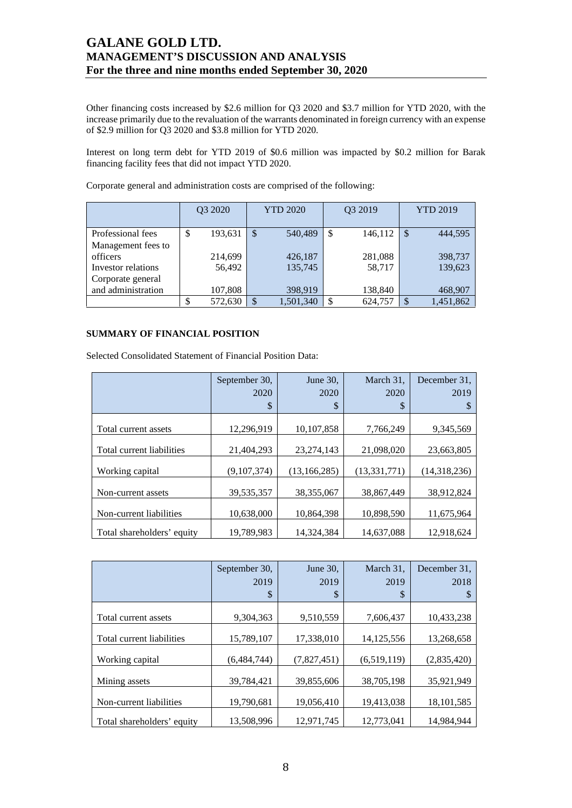Other financing costs increased by \$2.6 million for Q3 2020 and \$3.7 million for YTD 2020, with the increase primarily due to the revaluation of the warrants denominated in foreign currency with an expense of \$2.9 million for Q3 2020 and \$3.8 million for YTD 2020.

Interest on long term debt for YTD 2019 of \$0.6 million was impacted by \$0.2 million for Barak financing facility fees that did not impact YTD 2020.

|                    | Q3 2020 |         | <b>YTD 2020</b>           |           |    | Q3 2019 | <b>YTD 2019</b> |           |  |
|--------------------|---------|---------|---------------------------|-----------|----|---------|-----------------|-----------|--|
| Professional fees  | \$      | 193,631 | $\mathcal{S}$             | 540,489   | \$ | 146,112 | S               | 444.595   |  |
| Management fees to |         |         |                           |           |    |         |                 |           |  |
| officers           |         | 214,699 |                           | 426,187   |    | 281,088 |                 | 398,737   |  |
| Investor relations |         | 56,492  |                           | 135,745   |    | 58,717  |                 | 139,623   |  |
| Corporate general  |         |         |                           |           |    |         |                 |           |  |
| and administration |         | 107,808 |                           | 398,919   |    | 138,840 |                 | 468,907   |  |
|                    |         | 572,630 | $\boldsymbol{\mathsf{S}}$ | 1,501,340 |    | 624,757 |                 | 1,451,862 |  |

Corporate general and administration costs are comprised of the following:

### **SUMMARY OF FINANCIAL POSITION**

Selected Consolidated Statement of Financial Position Data:

|                            | September 30, | June $30$ .    | March 31,      | December 31. |
|----------------------------|---------------|----------------|----------------|--------------|
|                            | 2020          | 2020           | 2020           | 2019         |
|                            | \$            | \$             | \$             |              |
|                            |               |                |                |              |
| Total current assets       | 12,296,919    | 10,107,858     | 7,766,249      | 9,345,569    |
| Total current liabilities  | 21,404,293    | 23, 274, 143   | 21,098,020     | 23,663,805   |
| Working capital            | (9,107,374)   | (13, 166, 285) | (13, 331, 771) | (14,318,236) |
| Non-current assets         | 39,535,357    | 38,355,067     | 38.867.449     | 38,912,824   |
| Non-current liabilities    | 10,638,000    | 10,864,398     | 10,898,590     | 11,675,964   |
| Total shareholders' equity | 19.789.983    | 14.324.384     | 14,637,088     | 12.918.624   |

|                            | September 30, | June $30$ . | March 31,   | December 31. |
|----------------------------|---------------|-------------|-------------|--------------|
|                            | 2019          | 2019        | 2019        | 2018         |
|                            | \$            | S           | \$          |              |
| Total current assets       | 9,304,363     | 9,510,559   | 7,606,437   | 10,433,238   |
| Total current liabilities  | 15,789,107    | 17,338,010  | 14,125,556  | 13,268,658   |
| Working capital            | (6,484,744)   | (7,827,451) | (6,519,119) | (2,835,420)  |
| Mining assets              | 39,784,421    | 39,855,606  | 38,705,198  | 35,921,949   |
| Non-current liabilities    | 19,790,681    | 19.056.410  | 19,413,038  | 18, 101, 585 |
| Total shareholders' equity | 13,508,996    | 12,971,745  | 12,773,041  | 14,984,944   |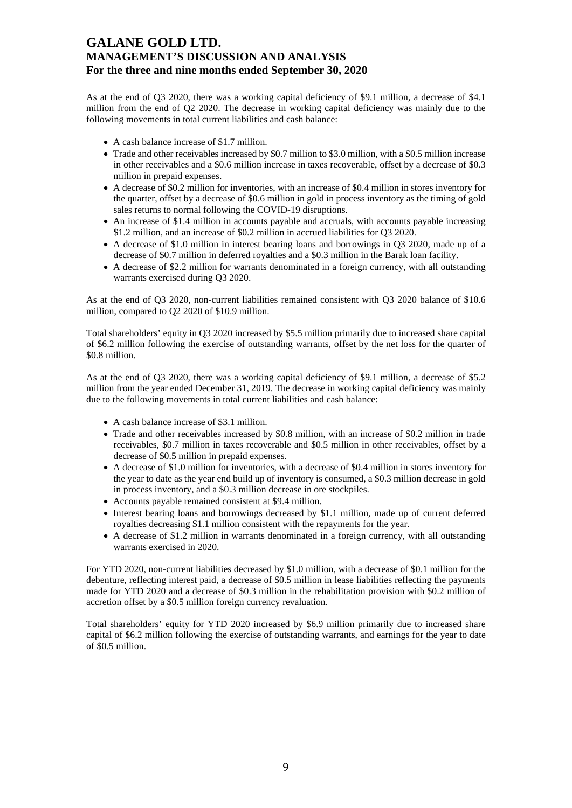As at the end of Q3 2020, there was a working capital deficiency of \$9.1 million, a decrease of \$4.1 million from the end of Q2 2020. The decrease in working capital deficiency was mainly due to the following movements in total current liabilities and cash balance:

- A cash balance increase of \$1.7 million.
- Trade and other receivables increased by \$0.7 million to \$3.0 million, with a \$0.5 million increase in other receivables and a \$0.6 million increase in taxes recoverable, offset by a decrease of \$0.3 million in prepaid expenses.
- A decrease of \$0.2 million for inventories, with an increase of \$0.4 million in stores inventory for the quarter, offset by a decrease of \$0.6 million in gold in process inventory as the timing of gold sales returns to normal following the COVID-19 disruptions.
- An increase of \$1.4 million in accounts payable and accruals, with accounts payable increasing \$1.2 million, and an increase of \$0.2 million in accrued liabilities for Q3 2020.
- A decrease of \$1.0 million in interest bearing loans and borrowings in Q3 2020, made up of a decrease of \$0.7 million in deferred royalties and a \$0.3 million in the Barak loan facility.
- A decrease of \$2.2 million for warrants denominated in a foreign currency, with all outstanding warrants exercised during Q3 2020.

As at the end of Q3 2020, non-current liabilities remained consistent with Q3 2020 balance of \$10.6 million, compared to Q2 2020 of \$10.9 million.

Total shareholders' equity in Q3 2020 increased by \$5.5 million primarily due to increased share capital of \$6.2 million following the exercise of outstanding warrants, offset by the net loss for the quarter of \$0.8 million.

As at the end of Q3 2020, there was a working capital deficiency of \$9.1 million, a decrease of \$5.2 million from the year ended December 31, 2019. The decrease in working capital deficiency was mainly due to the following movements in total current liabilities and cash balance:

- A cash balance increase of \$3.1 million.
- Trade and other receivables increased by \$0.8 million, with an increase of \$0.2 million in trade receivables, \$0.7 million in taxes recoverable and \$0.5 million in other receivables, offset by a decrease of \$0.5 million in prepaid expenses.
- A decrease of \$1.0 million for inventories, with a decrease of \$0.4 million in stores inventory for the year to date as the year end build up of inventory is consumed, a \$0.3 million decrease in gold in process inventory, and a \$0.3 million decrease in ore stockpiles.
- Accounts payable remained consistent at \$9.4 million.
- Interest bearing loans and borrowings decreased by \$1.1 million, made up of current deferred royalties decreasing \$1.1 million consistent with the repayments for the year.
- A decrease of \$1.2 million in warrants denominated in a foreign currency, with all outstanding warrants exercised in 2020.

For YTD 2020, non-current liabilities decreased by \$1.0 million, with a decrease of \$0.1 million for the debenture, reflecting interest paid, a decrease of \$0.5 million in lease liabilities reflecting the payments made for YTD 2020 and a decrease of \$0.3 million in the rehabilitation provision with \$0.2 million of accretion offset by a \$0.5 million foreign currency revaluation.

Total shareholders' equity for YTD 2020 increased by \$6.9 million primarily due to increased share capital of \$6.2 million following the exercise of outstanding warrants, and earnings for the year to date of \$0.5 million.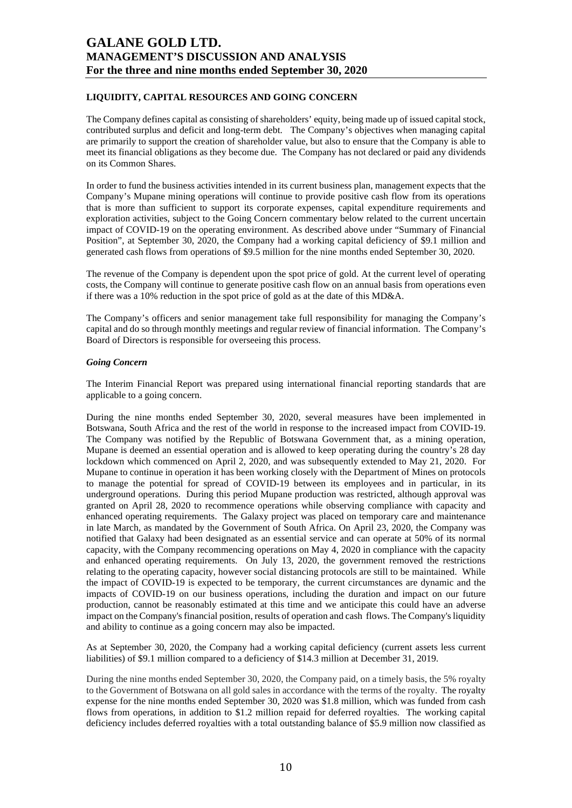### **LIQUIDITY, CAPITAL RESOURCES AND GOING CONCERN**

The Company defines capital as consisting of shareholders' equity, being made up of issued capital stock, contributed surplus and deficit and long-term debt. The Company's objectives when managing capital are primarily to support the creation of shareholder value, but also to ensure that the Company is able to meet its financial obligations as they become due. The Company has not declared or paid any dividends on its Common Shares.

In order to fund the business activities intended in its current business plan, management expects that the Company's Mupane mining operations will continue to provide positive cash flow from its operations that is more than sufficient to support its corporate expenses, capital expenditure requirements and exploration activities, subject to the Going Concern commentary below related to the current uncertain impact of COVID-19 on the operating environment. As described above under "Summary of Financial Position", at September 30, 2020, the Company had a working capital deficiency of \$9.1 million and generated cash flows from operations of \$9.5 million for the nine months ended September 30, 2020.

The revenue of the Company is dependent upon the spot price of gold. At the current level of operating costs, the Company will continue to generate positive cash flow on an annual basis from operations even if there was a 10% reduction in the spot price of gold as at the date of this MD&A.

The Company's officers and senior management take full responsibility for managing the Company's capital and do so through monthly meetings and regular review of financial information. The Company's Board of Directors is responsible for overseeing this process.

#### *Going Concern*

The Interim Financial Report was prepared using international financial reporting standards that are applicable to a going concern.

During the nine months ended September 30, 2020, several measures have been implemented in Botswana, South Africa and the rest of the world in response to the increased impact from COVID-19. The Company was notified by the Republic of Botswana Government that, as a mining operation, Mupane is deemed an essential operation and is allowed to keep operating during the country's 28 day lockdown which commenced on April 2, 2020, and was subsequently extended to May 21, 2020. For Mupane to continue in operation it has been working closely with the Department of Mines on protocols to manage the potential for spread of COVID-19 between its employees and in particular, in its underground operations. During this period Mupane production was restricted, although approval was granted on April 28, 2020 to recommence operations while observing compliance with capacity and enhanced operating requirements. The Galaxy project was placed on temporary care and maintenance in late March, as mandated by the Government of South Africa. On April 23, 2020, the Company was notified that Galaxy had been designated as an essential service and can operate at 50% of its normal capacity, with the Company recommencing operations on May 4, 2020 in compliance with the capacity and enhanced operating requirements. On July 13, 2020, the government removed the restrictions relating to the operating capacity, however social distancing protocols are still to be maintained. While the impact of COVID-19 is expected to be temporary, the current circumstances are dynamic and the impacts of COVID-19 on our business operations, including the duration and impact on our future production, cannot be reasonably estimated at this time and we anticipate this could have an adverse impact on the Company's financial position, results of operation and cash flows. The Company's liquidity and ability to continue as a going concern may also be impacted.

As at September 30, 2020, the Company had a working capital deficiency (current assets less current liabilities) of \$9.1 million compared to a deficiency of \$14.3 million at December 31, 2019.

During the nine months ended September 30, 2020, the Company paid, on a timely basis, the 5% royalty to the Government of Botswana on all gold sales in accordance with the terms of the royalty. The royalty expense for the nine months ended September 30, 2020 was \$1.8 million, which was funded from cash flows from operations, in addition to \$1.2 million repaid for deferred royalties. The working capital deficiency includes deferred royalties with a total outstanding balance of \$5.9 million now classified as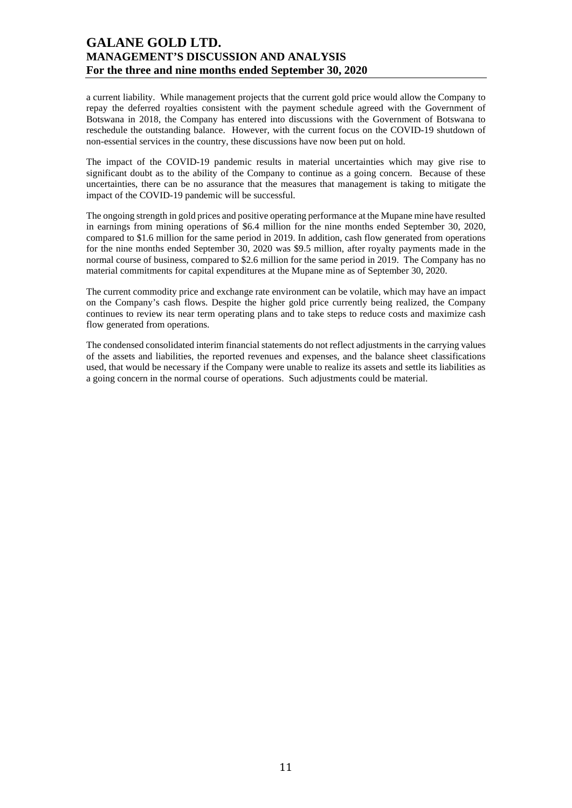a current liability. While management projects that the current gold price would allow the Company to repay the deferred royalties consistent with the payment schedule agreed with the Government of Botswana in 2018, the Company has entered into discussions with the Government of Botswana to reschedule the outstanding balance. However, with the current focus on the COVID-19 shutdown of non-essential services in the country, these discussions have now been put on hold.

The impact of the COVID-19 pandemic results in material uncertainties which may give rise to significant doubt as to the ability of the Company to continue as a going concern. Because of these uncertainties, there can be no assurance that the measures that management is taking to mitigate the impact of the COVID-19 pandemic will be successful.

The ongoing strength in gold prices and positive operating performance at the Mupane mine have resulted in earnings from mining operations of \$6.4 million for the nine months ended September 30, 2020, compared to \$1.6 million for the same period in 2019. In addition, cash flow generated from operations for the nine months ended September 30, 2020 was \$9.5 million, after royalty payments made in the normal course of business, compared to \$2.6 million for the same period in 2019. The Company has no material commitments for capital expenditures at the Mupane mine as of September 30, 2020.

The current commodity price and exchange rate environment can be volatile, which may have an impact on the Company's cash flows. Despite the higher gold price currently being realized, the Company continues to review its near term operating plans and to take steps to reduce costs and maximize cash flow generated from operations.

The condensed consolidated interim financial statements do not reflect adjustments in the carrying values of the assets and liabilities, the reported revenues and expenses, and the balance sheet classifications used, that would be necessary if the Company were unable to realize its assets and settle its liabilities as a going concern in the normal course of operations. Such adjustments could be material.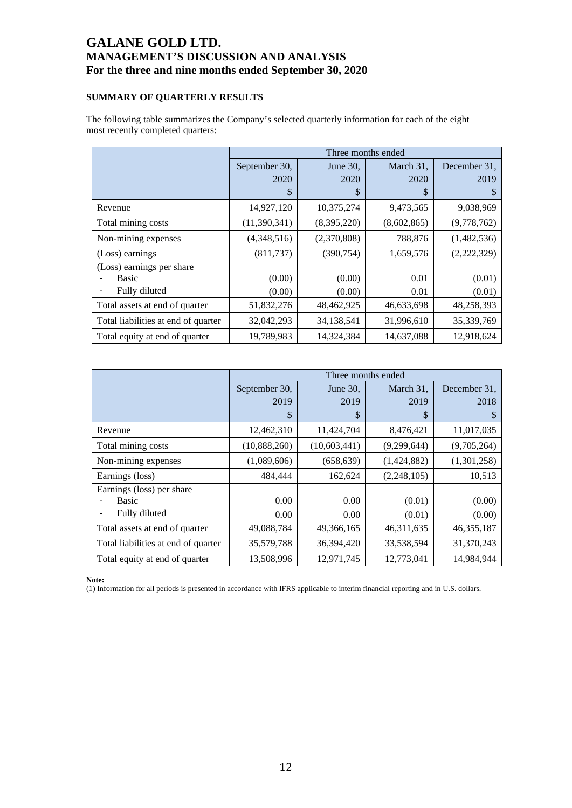### **SUMMARY OF QUARTERLY RESULTS**

The following table summarizes the Company's selected quarterly information for each of the eight most recently completed quarters:

|                                     |               |             | Three months ended |              |
|-------------------------------------|---------------|-------------|--------------------|--------------|
|                                     | September 30, | June 30,    | March 31,          | December 31, |
|                                     | 2020          | 2020        | 2020               | 2019         |
|                                     | \$            | S           | S                  | \$           |
| Revenue                             | 14,927,120    | 10,375,274  | 9,473,565          | 9,038,969    |
| Total mining costs                  | (11,390,341)  | (8,395,220) | (8,602,865)        | (9,778,762)  |
| Non-mining expenses                 | (4,348,516)   | (2,370,808) | 788,876            | (1,482,536)  |
| (Loss) earnings                     | (811, 737)    | (390, 754)  | 1,659,576          | (2,222,329)  |
| (Loss) earnings per share           |               |             |                    |              |
| Basic                               | (0.00)        | (0.00)      | 0.01               | (0.01)       |
| Fully diluted                       | (0.00)        | (0.00)      | 0.01               | (0.01)       |
| Total assets at end of quarter      | 51,832,276    | 48,462,925  | 46,633,698         | 48,258,393   |
| Total liabilities at end of quarter | 32,042,293    | 34,138,541  | 31,996,610         | 35,339,769   |
| Total equity at end of quarter      | 19,789,983    | 14,324,384  | 14,637,088         | 12,918,624   |

|                                     |               |                | Three months ended |              |
|-------------------------------------|---------------|----------------|--------------------|--------------|
|                                     | September 30, | June 30,       | March 31,          | December 31, |
|                                     | 2019          | 2019           | 2019               | 2018         |
|                                     | \$            | \$             | S                  |              |
| Revenue                             | 12,462,310    | 11,424,704     | 8,476,421          | 11,017,035   |
| Total mining costs                  | (10,888,260)  | (10, 603, 441) | (9,299,644)        | (9,705,264)  |
| Non-mining expenses                 | (1,089,606)   | (658, 639)     | (1,424,882)        | (1,301,258)  |
| Earnings (loss)                     | 484,444       | 162,624        | (2,248,105)        | 10,513       |
| Earnings (loss) per share           |               |                |                    |              |
| <b>Basic</b>                        | 0.00          | 0.00           | (0.01)             | (0.00)       |
| Fully diluted                       | 0.00          | 0.00           | (0.01)             | (0.00)       |
| Total assets at end of quarter      | 49,088,784    | 49,366,165     | 46, 311, 635       | 46, 355, 187 |
| Total liabilities at end of quarter | 35,579,788    | 36,394,420     | 33,538,594         | 31,370,243   |
| Total equity at end of quarter      | 13,508,996    | 12,971,745     | 12,773,041         | 14,984,944   |

**Note:** 

(1) Information for all periods is presented in accordance with IFRS applicable to interim financial reporting and in U.S. dollars.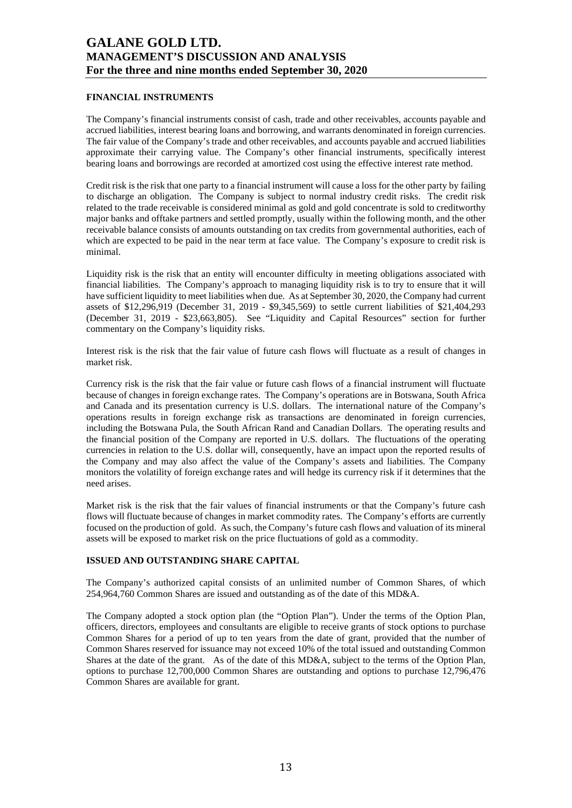### **FINANCIAL INSTRUMENTS**

The Company's financial instruments consist of cash, trade and other receivables, accounts payable and accrued liabilities, interest bearing loans and borrowing, and warrants denominated in foreign currencies. The fair value of the Company's trade and other receivables, and accounts payable and accrued liabilities approximate their carrying value. The Company's other financial instruments, specifically interest bearing loans and borrowings are recorded at amortized cost using the effective interest rate method.

Credit risk is the risk that one party to a financial instrument will cause a loss for the other party by failing to discharge an obligation. The Company is subject to normal industry credit risks. The credit risk related to the trade receivable is considered minimal as gold and gold concentrate is sold to creditworthy major banks and offtake partners and settled promptly, usually within the following month, and the other receivable balance consists of amounts outstanding on tax credits from governmental authorities, each of which are expected to be paid in the near term at face value. The Company's exposure to credit risk is minimal.

Liquidity risk is the risk that an entity will encounter difficulty in meeting obligations associated with financial liabilities. The Company's approach to managing liquidity risk is to try to ensure that it will have sufficient liquidity to meet liabilities when due. As at September 30, 2020, the Company had current assets of \$12,296,919 (December 31, 2019 - \$9,345,569) to settle current liabilities of \$21,404,293 (December 31, 2019 - \$23,663,805). See "Liquidity and Capital Resources" section for further commentary on the Company's liquidity risks.

Interest risk is the risk that the fair value of future cash flows will fluctuate as a result of changes in market risk.

Currency risk is the risk that the fair value or future cash flows of a financial instrument will fluctuate because of changes in foreign exchange rates. The Company's operations are in Botswana, South Africa and Canada and its presentation currency is U.S. dollars. The international nature of the Company's operations results in foreign exchange risk as transactions are denominated in foreign currencies, including the Botswana Pula, the South African Rand and Canadian Dollars. The operating results and the financial position of the Company are reported in U.S. dollars. The fluctuations of the operating currencies in relation to the U.S. dollar will, consequently, have an impact upon the reported results of the Company and may also affect the value of the Company's assets and liabilities. The Company monitors the volatility of foreign exchange rates and will hedge its currency risk if it determines that the need arises.

Market risk is the risk that the fair values of financial instruments or that the Company's future cash flows will fluctuate because of changes in market commodity rates. The Company's efforts are currently focused on the production of gold. As such, the Company's future cash flows and valuation of its mineral assets will be exposed to market risk on the price fluctuations of gold as a commodity.

### **ISSUED AND OUTSTANDING SHARE CAPITAL**

The Company's authorized capital consists of an unlimited number of Common Shares, of which 254,964,760 Common Shares are issued and outstanding as of the date of this MD&A.

The Company adopted a stock option plan (the "Option Plan"). Under the terms of the Option Plan, officers, directors, employees and consultants are eligible to receive grants of stock options to purchase Common Shares for a period of up to ten years from the date of grant, provided that the number of Common Shares reserved for issuance may not exceed 10% of the total issued and outstanding Common Shares at the date of the grant. As of the date of this MD&A, subject to the terms of the Option Plan, options to purchase 12,700,000 Common Shares are outstanding and options to purchase 12,796,476 Common Shares are available for grant.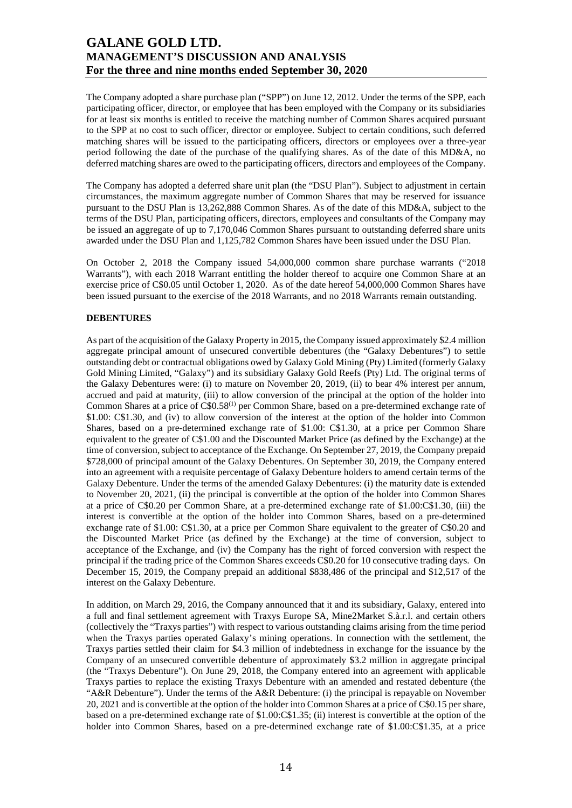The Company adopted a share purchase plan ("SPP") on June 12, 2012. Under the terms of the SPP, each participating officer, director, or employee that has been employed with the Company or its subsidiaries for at least six months is entitled to receive the matching number of Common Shares acquired pursuant to the SPP at no cost to such officer, director or employee. Subject to certain conditions, such deferred matching shares will be issued to the participating officers, directors or employees over a three-year period following the date of the purchase of the qualifying shares. As of the date of this MD&A, no deferred matching shares are owed to the participating officers, directors and employees of the Company.

The Company has adopted a deferred share unit plan (the "DSU Plan"). Subject to adjustment in certain circumstances, the maximum aggregate number of Common Shares that may be reserved for issuance pursuant to the DSU Plan is 13,262,888 Common Shares. As of the date of this MD&A, subject to the terms of the DSU Plan, participating officers, directors, employees and consultants of the Company may be issued an aggregate of up to 7,170,046 Common Shares pursuant to outstanding deferred share units awarded under the DSU Plan and 1,125,782 Common Shares have been issued under the DSU Plan.

On October 2, 2018 the Company issued 54,000,000 common share purchase warrants ("2018 Warrants"), with each 2018 Warrant entitling the holder thereof to acquire one Common Share at an exercise price of C\$0.05 until October 1, 2020. As of the date hereof 54,000,000 Common Shares have been issued pursuant to the exercise of the 2018 Warrants, and no 2018 Warrants remain outstanding.

### **DEBENTURES**

As part of the acquisition of the Galaxy Property in 2015, the Company issued approximately \$2.4 million aggregate principal amount of unsecured convertible debentures (the "Galaxy Debentures") to settle outstanding debt or contractual obligations owed by Galaxy Gold Mining (Pty) Limited (formerly Galaxy Gold Mining Limited, "Galaxy") and its subsidiary Galaxy Gold Reefs (Pty) Ltd. The original terms of the Galaxy Debentures were: (i) to mature on November 20, 2019, (ii) to bear 4% interest per annum, accrued and paid at maturity, (iii) to allow conversion of the principal at the option of the holder into Common Shares at a price of C\$0.58<sup>(1)</sup> per Common Share, based on a pre-determined exchange rate of \$1.00: C\$1.30, and (iv) to allow conversion of the interest at the option of the holder into Common Shares, based on a pre-determined exchange rate of \$1.00: C\$1.30, at a price per Common Share equivalent to the greater of C\$1.00 and the Discounted Market Price (as defined by the Exchange) at the time of conversion, subject to acceptance of the Exchange. On September 27, 2019, the Company prepaid \$728,000 of principal amount of the Galaxy Debentures. On September 30, 2019, the Company entered into an agreement with a requisite percentage of Galaxy Debenture holders to amend certain terms of the Galaxy Debenture. Under the terms of the amended Galaxy Debentures: (i) the maturity date is extended to November 20, 2021, (ii) the principal is convertible at the option of the holder into Common Shares at a price of C\$0.20 per Common Share, at a pre-determined exchange rate of \$1.00:C\$1.30, (iii) the interest is convertible at the option of the holder into Common Shares, based on a pre-determined exchange rate of \$1.00: C\$1.30, at a price per Common Share equivalent to the greater of C\$0.20 and the Discounted Market Price (as defined by the Exchange) at the time of conversion, subject to acceptance of the Exchange, and (iv) the Company has the right of forced conversion with respect the principal if the trading price of the Common Shares exceeds C\$0.20 for 10 consecutive trading days. On December 15, 2019, the Company prepaid an additional \$838,486 of the principal and \$12,517 of the interest on the Galaxy Debenture.

In addition, on March 29, 2016, the Company announced that it and its subsidiary, Galaxy, entered into a full and final settlement agreement with Traxys Europe SA, Mine2Market S.à.r.l. and certain others (collectively the "Traxys parties") with respect to various outstanding claims arising from the time period when the Traxys parties operated Galaxy's mining operations. In connection with the settlement, the Traxys parties settled their claim for \$4.3 million of indebtedness in exchange for the issuance by the Company of an unsecured convertible debenture of approximately \$3.2 million in aggregate principal (the "Traxys Debenture"). On June 29, 2018, the Company entered into an agreement with applicable Traxys parties to replace the existing Traxys Debenture with an amended and restated debenture (the "A&R Debenture"). Under the terms of the A&R Debenture: (i) the principal is repayable on November 20, 2021 and is convertible at the option of the holder into Common Shares at a price of C\$0.15 per share, based on a pre-determined exchange rate of \$1.00:C\$1.35; (ii) interest is convertible at the option of the holder into Common Shares, based on a pre-determined exchange rate of \$1.00:C\$1.35, at a price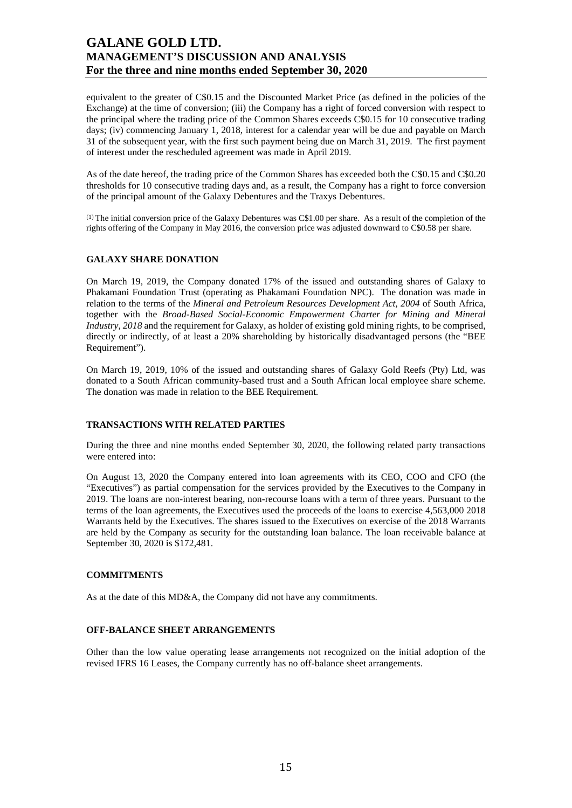equivalent to the greater of C\$0.15 and the Discounted Market Price (as defined in the policies of the Exchange) at the time of conversion; (iii) the Company has a right of forced conversion with respect to the principal where the trading price of the Common Shares exceeds C\$0.15 for 10 consecutive trading days; (iv) commencing January 1, 2018, interest for a calendar year will be due and payable on March 31 of the subsequent year, with the first such payment being due on March 31, 2019. The first payment of interest under the rescheduled agreement was made in April 2019.

As of the date hereof, the trading price of the Common Shares has exceeded both the C\$0.15 and C\$0.20 thresholds for 10 consecutive trading days and, as a result, the Company has a right to force conversion of the principal amount of the Galaxy Debentures and the Traxys Debentures.

(1) The initial conversion price of the Galaxy Debentures was C\$1.00 per share. As a result of the completion of the rights offering of the Company in May 2016, the conversion price was adjusted downward to C\$0.58 per share.

### **GALAXY SHARE DONATION**

On March 19, 2019, the Company donated 17% of the issued and outstanding shares of Galaxy to Phakamani Foundation Trust (operating as Phakamani Foundation NPC). The donation was made in relation to the terms of the *Mineral and Petroleum Resources Development Act, 2004* of South Africa, together with the *Broad-Based Social-Economic Empowerment Charter for Mining and Mineral Industry, 2018* and the requirement for Galaxy, as holder of existing gold mining rights, to be comprised, directly or indirectly, of at least a 20% shareholding by historically disadvantaged persons (the "BEE Requirement").

On March 19, 2019, 10% of the issued and outstanding shares of Galaxy Gold Reefs (Pty) Ltd, was donated to a South African community-based trust and a South African local employee share scheme. The donation was made in relation to the BEE Requirement.

### **TRANSACTIONS WITH RELATED PARTIES**

During the three and nine months ended September 30, 2020, the following related party transactions were entered into:

On August 13, 2020 the Company entered into loan agreements with its CEO, COO and CFO (the "Executives") as partial compensation for the services provided by the Executives to the Company in 2019. The loans are non-interest bearing, non-recourse loans with a term of three years. Pursuant to the terms of the loan agreements, the Executives used the proceeds of the loans to exercise 4,563,000 2018 Warrants held by the Executives. The shares issued to the Executives on exercise of the 2018 Warrants are held by the Company as security for the outstanding loan balance. The loan receivable balance at September 30, 2020 is \$172,481.

### **COMMITMENTS**

As at the date of this MD&A, the Company did not have any commitments.

#### **OFF-BALANCE SHEET ARRANGEMENTS**

Other than the low value operating lease arrangements not recognized on the initial adoption of the revised IFRS 16 Leases, the Company currently has no off-balance sheet arrangements.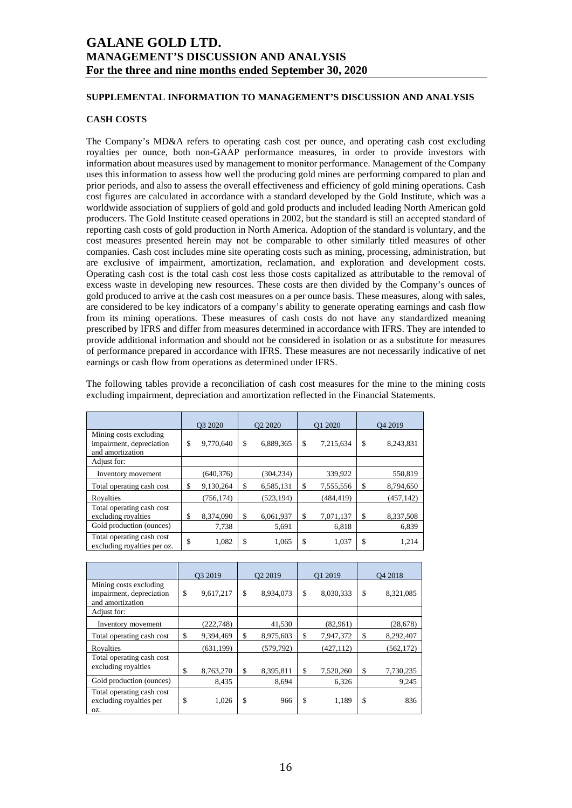### **SUPPLEMENTAL INFORMATION TO MANAGEMENT'S DISCUSSION AND ANALYSIS**

### **CASH COSTS**

The Company's MD&A refers to operating cash cost per ounce, and operating cash cost excluding royalties per ounce, both non-GAAP performance measures, in order to provide investors with information about measures used by management to monitor performance. Management of the Company uses this information to assess how well the producing gold mines are performing compared to plan and prior periods, and also to assess the overall effectiveness and efficiency of gold mining operations. Cash cost figures are calculated in accordance with a standard developed by the Gold Institute, which was a worldwide association of suppliers of gold and gold products and included leading North American gold producers. The Gold Institute ceased operations in 2002, but the standard is still an accepted standard of reporting cash costs of gold production in North America. Adoption of the standard is voluntary, and the cost measures presented herein may not be comparable to other similarly titled measures of other companies. Cash cost includes mine site operating costs such as mining, processing, administration, but are exclusive of impairment, amortization, reclamation, and exploration and development costs. Operating cash cost is the total cash cost less those costs capitalized as attributable to the removal of excess waste in developing new resources. These costs are then divided by the Company's ounces of gold produced to arrive at the cash cost measures on a per ounce basis. These measures, along with sales, are considered to be key indicators of a company's ability to generate operating earnings and cash flow from its mining operations. These measures of cash costs do not have any standardized meaning prescribed by IFRS and differ from measures determined in accordance with IFRS. They are intended to provide additional information and should not be considered in isolation or as a substitute for measures of performance prepared in accordance with IFRS. These measures are not necessarily indicative of net earnings or cash flow from operations as determined under IFRS.

The following tables provide a reconciliation of cash cost measures for the mine to the mining costs excluding impairment, depreciation and amortization reflected in the Financial Statements.

|                                                                        | O3 2020         |    | Q2 2020    | Q1 2020         |    | O <sub>4</sub> 2019 |
|------------------------------------------------------------------------|-----------------|----|------------|-----------------|----|---------------------|
| Mining costs excluding<br>impairment, depreciation<br>and amortization | \$<br>9,770,640 | \$ | 6,889,365  | \$<br>7,215,634 | \$ | 8,243,831           |
| Adjust for:                                                            |                 |    |            |                 |    |                     |
| Inventory movement                                                     | (640, 376)      |    | (304, 234) | 339.922         |    | 550,819             |
| Total operating cash cost                                              | \$<br>9,130,264 | S  | 6,585,131  | \$<br>7,555,556 | S  | 8,794,650           |
| Rovalties                                                              | (756.174)       |    | (523, 194) | (484, 419)      |    | (457, 142)          |
| Total operating cash cost<br>excluding royalties                       | \$<br>8.374.090 | \$ | 6.061.937  | \$<br>7,071,137 | \$ | 8,337,508           |
| Gold production (ounces)                                               | 7,738           |    | 5,691      | 6,818           |    | 6,839               |
| Total operating cash cost<br>excluding royalties per oz.               | \$<br>1,082     | \$ | 1,065      | \$<br>1,037     | \$ | 1,214               |

|                                                                        | O3 2019 |            | O <sub>2</sub> 2019 | O1 2019         | O <sub>4</sub> 2018 |
|------------------------------------------------------------------------|---------|------------|---------------------|-----------------|---------------------|
| Mining costs excluding<br>impairment, depreciation<br>and amortization | \$      | 9,617,217  | \$<br>8,934,073     | \$<br>8,030,333 | \$<br>8,321,085     |
| Adjust for:                                                            |         |            |                     |                 |                     |
| Inventory movement                                                     |         | (222, 748) | 41,530              | (82,961)        | (28, 678)           |
| Total operating cash cost                                              | \$      | 9,394,469  | \$<br>8,975,603     | \$<br>7,947,372 | \$<br>8,292,407     |
| Royalties                                                              |         | (631, 199) | (579, 792)          | (427, 112)      | (562, 172)          |
| Total operating cash cost<br>excluding royalties                       | \$      | 8,763,270  | \$<br>8,395,811     | \$<br>7,520,260 | \$<br>7,730,235     |
| Gold production (ounces)                                               |         | 8,435      | 8,694               | 6,326           | 9,245               |
| Total operating cash cost<br>excluding royalties per<br>OZ.            | \$      | 1,026      | \$<br>966           | \$<br>1,189     | \$<br>836           |